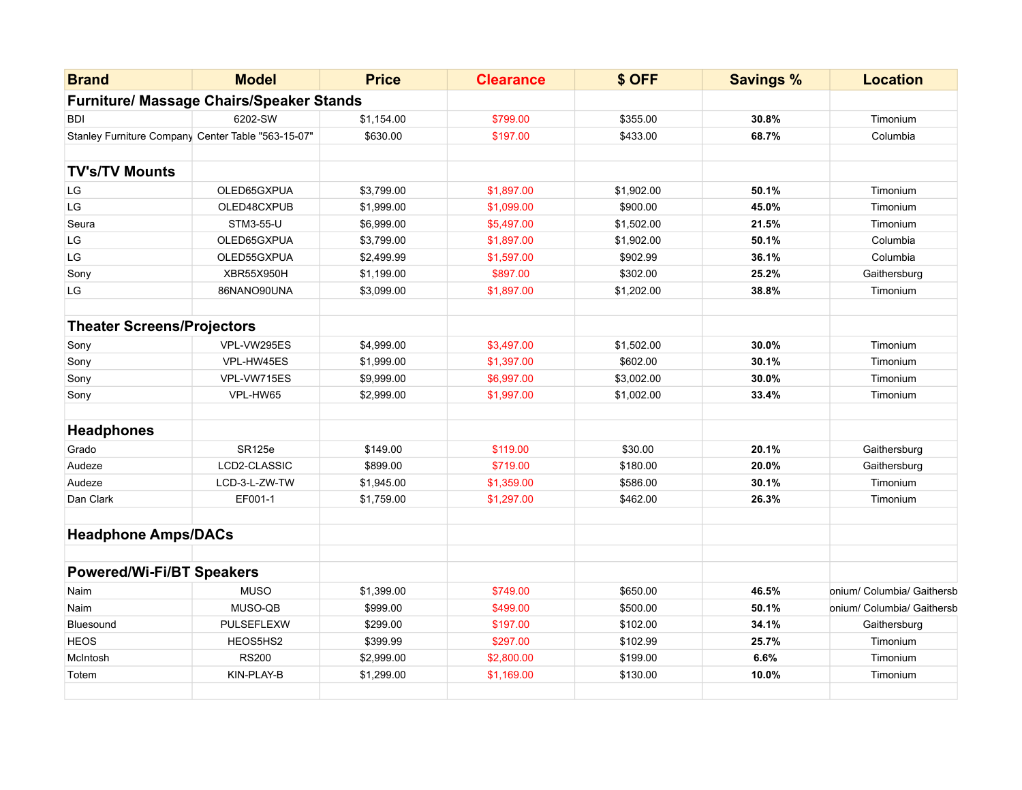| <b>Brand</b>                                       | <b>Model</b>                                    | <b>Price</b> | <b>Clearance</b> | \$ OFF     | <b>Savings %</b> | <b>Location</b>            |
|----------------------------------------------------|-------------------------------------------------|--------------|------------------|------------|------------------|----------------------------|
|                                                    | <b>Furniture/ Massage Chairs/Speaker Stands</b> |              |                  |            |                  |                            |
| <b>BDI</b>                                         | 6202-SW                                         | \$1,154.00   | \$799.00         | \$355.00   | 30.8%            | Timonium                   |
| Stanley Furniture Company Center Table "563-15-07" |                                                 | \$630.00     | \$197.00         | \$433.00   | 68.7%            | Columbia                   |
|                                                    |                                                 |              |                  |            |                  |                            |
| <b>TV's/TV Mounts</b>                              |                                                 |              |                  |            |                  |                            |
| LG                                                 | OLED65GXPUA                                     | \$3,799.00   | \$1,897.00       | \$1,902.00 | 50.1%            | Timonium                   |
| $\mathsf{L}\mathsf{G}$                             | OLED48CXPUB                                     | \$1,999.00   | \$1,099.00       | \$900.00   | 45.0%            | Timonium                   |
| Seura                                              | STM3-55-U                                       | \$6,999.00   | \$5,497.00       | \$1,502.00 | 21.5%            | Timonium                   |
| LG                                                 | OLED65GXPUA                                     | \$3,799.00   | \$1,897.00       | \$1,902.00 | 50.1%            | Columbia                   |
| LG                                                 | OLED55GXPUA                                     | \$2,499.99   | \$1,597.00       | \$902.99   | 36.1%            | Columbia                   |
| Sony                                               | <b>XBR55X950H</b>                               | \$1,199.00   | \$897.00         | \$302.00   | 25.2%            | Gaithersburg               |
| LG                                                 | 86NANO90UNA                                     | \$3,099.00   | \$1,897.00       | \$1,202.00 | 38.8%            | Timonium                   |
| <b>Theater Screens/Projectors</b>                  |                                                 |              |                  |            |                  |                            |
| Sony                                               | VPL-VW295ES                                     | \$4,999.00   | \$3,497.00       | \$1,502.00 | 30.0%            | Timonium                   |
| Sony                                               | VPL-HW45ES                                      | \$1,999.00   | \$1,397.00       | \$602.00   | 30.1%            | Timonium                   |
| Sony                                               | VPL-VW715ES                                     | \$9,999.00   | \$6,997.00       | \$3,002.00 | 30.0%            | Timonium                   |
|                                                    | VPL-HW65                                        | \$2,999.00   | \$1,997.00       |            | 33.4%            | Timonium                   |
| Sony                                               |                                                 |              |                  | \$1,002.00 |                  |                            |
| <b>Headphones</b>                                  |                                                 |              |                  |            |                  |                            |
| Grado                                              | <b>SR125e</b>                                   | \$149.00     | \$119.00         | \$30.00    | 20.1%            | Gaithersburg               |
| Audeze                                             | LCD2-CLASSIC                                    | \$899.00     | \$719.00         | \$180.00   | 20.0%            | Gaithersburg               |
| Audeze                                             | LCD-3-L-ZW-TW                                   | \$1,945.00   | \$1,359.00       | \$586.00   | 30.1%            | Timonium                   |
| Dan Clark                                          | EF001-1                                         | \$1,759.00   | \$1,297.00       | \$462.00   | 26.3%            | Timonium                   |
| <b>Headphone Amps/DACs</b>                         |                                                 |              |                  |            |                  |                            |
|                                                    |                                                 |              |                  |            |                  |                            |
| <b>Powered/Wi-Fi/BT Speakers</b>                   |                                                 |              |                  |            |                  |                            |
| Naim                                               | <b>MUSO</b>                                     | \$1,399.00   | \$749.00         | \$650.00   | 46.5%            | onium/ Columbia/ Gaithersb |
| Naim                                               | MUSO-QB                                         | \$999.00     | \$499.00         | \$500.00   | 50.1%            | onium/ Columbia/ Gaithersb |
| Bluesound                                          | PULSEFLEXW                                      | \$299.00     | \$197.00         | \$102.00   | 34.1%            | Gaithersburg               |
| <b>HEOS</b>                                        | HEOS5HS2                                        | \$399.99     | \$297.00         | \$102.99   | 25.7%            | Timonium                   |
| McIntosh                                           | <b>RS200</b>                                    | \$2,999.00   | \$2,800.00       | \$199.00   | 6.6%             | Timonium                   |
| Totem                                              | KIN-PLAY-B                                      | \$1,299.00   | \$1,169.00       | \$130.00   | 10.0%            | Timonium                   |
|                                                    |                                                 |              |                  |            |                  |                            |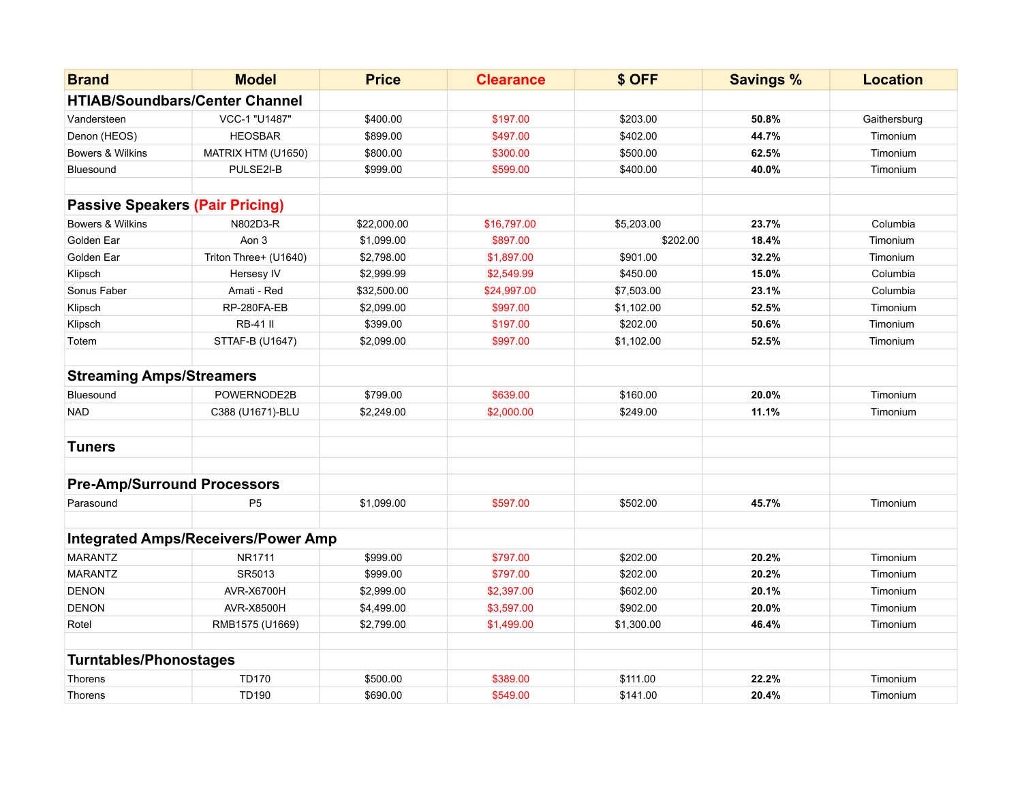| <b>Brand</b>                           | <b>Model</b>                               | <b>Price</b> | <b>Clearance</b> | \$ OFF     | <b>Savings %</b> | <b>Location</b> |
|----------------------------------------|--------------------------------------------|--------------|------------------|------------|------------------|-----------------|
|                                        | <b>HTIAB/Soundbars/Center Channel</b>      |              |                  |            |                  |                 |
| Vandersteen                            | VCC-1 "U1487"                              | \$400.00     | \$197.00         | \$203.00   | 50.8%            | Gaithersburg    |
| Denon (HEOS)                           | <b>HEOSBAR</b>                             | \$899.00     | \$497.00         | \$402.00   | 44.7%            | Timonium        |
| Bowers & Wilkins                       | MATRIX HTM (U1650)                         | \$800.00     | \$300.00         | \$500.00   | 62.5%            | Timonium        |
| Bluesound                              | PULSE2I-B                                  | \$999.00     | \$599.00         | \$400.00   | 40.0%            | Timonium        |
|                                        |                                            |              |                  |            |                  |                 |
| <b>Passive Speakers (Pair Pricing)</b> |                                            |              |                  |            |                  |                 |
| <b>Bowers &amp; Wilkins</b>            | N802D3-R                                   | \$22,000.00  | \$16,797.00      | \$5,203.00 | 23.7%            | Columbia        |
| Golden Ear                             | Aon 3                                      | \$1,099.00   | \$897.00         | \$202.00   | 18.4%            | Timonium        |
| Golden Ear                             | Triton Three+ (U1640)                      | \$2,798.00   | \$1,897.00       | \$901.00   | 32.2%            | Timonium        |
| Klipsch                                | Hersesy IV                                 | \$2,999.99   | \$2,549.99       | \$450.00   | 15.0%            | Columbia        |
| Sonus Faber                            | Amati - Red                                | \$32,500.00  | \$24,997.00      | \$7,503.00 | 23.1%            | Columbia        |
| Klipsch                                | RP-280FA-EB                                | \$2,099.00   | \$997.00         | \$1,102.00 | 52.5%            | Timonium        |
| Klipsch                                | <b>RB-41 II</b>                            | \$399.00     | \$197.00         | \$202.00   | 50.6%            | Timonium        |
| Totem                                  | STTAF-B (U1647)                            | \$2,099.00   | \$997.00         | \$1,102.00 | 52.5%            | Timonium        |
|                                        |                                            |              |                  |            |                  |                 |
| <b>Streaming Amps/Streamers</b>        |                                            |              |                  |            |                  |                 |
| Bluesound                              | POWERNODE2B                                | \$799.00     | \$639.00         | \$160.00   | 20.0%            | Timonium        |
| <b>NAD</b>                             | C388 (U1671)-BLU                           | \$2,249.00   | \$2,000.00       | \$249.00   | 11.1%            | Timonium        |
|                                        |                                            |              |                  |            |                  |                 |
| <b>Tuners</b>                          |                                            |              |                  |            |                  |                 |
|                                        |                                            |              |                  |            |                  |                 |
| <b>Pre-Amp/Surround Processors</b>     |                                            |              |                  |            |                  |                 |
| Parasound                              | P <sub>5</sub>                             | \$1,099.00   | \$597.00         | \$502.00   | 45.7%            | Timonium        |
|                                        |                                            |              |                  |            |                  |                 |
|                                        | <b>Integrated Amps/Receivers/Power Amp</b> |              |                  |            |                  |                 |
| <b>MARANTZ</b>                         | NR1711                                     | \$999.00     | \$797.00         | \$202.00   | 20.2%            | Timonium        |
| <b>MARANTZ</b>                         | SR5013                                     | \$999.00     | \$797.00         | \$202.00   | 20.2%            | Timonium        |
| <b>DENON</b>                           | <b>AVR-X6700H</b>                          | \$2,999.00   | \$2,397.00       | \$602.00   | 20.1%            | Timonium        |
| <b>DENON</b>                           | <b>AVR-X8500H</b>                          | \$4,499.00   | \$3,597.00       | \$902.00   | 20.0%            | Timonium        |
| Rotel                                  | RMB1575 (U1669)                            | \$2,799.00   | \$1,499.00       | \$1,300.00 | 46.4%            | Timonium        |
|                                        |                                            |              |                  |            |                  |                 |
| <b>Turntables/Phonostages</b>          |                                            |              |                  |            |                  |                 |
| <b>Thorens</b>                         | <b>TD170</b>                               | \$500.00     | \$389.00         | \$111.00   | 22.2%            | Timonium        |
| Thorens                                | TD190                                      | \$690.00     | \$549.00         | \$141.00   | 20.4%            | Timonium        |